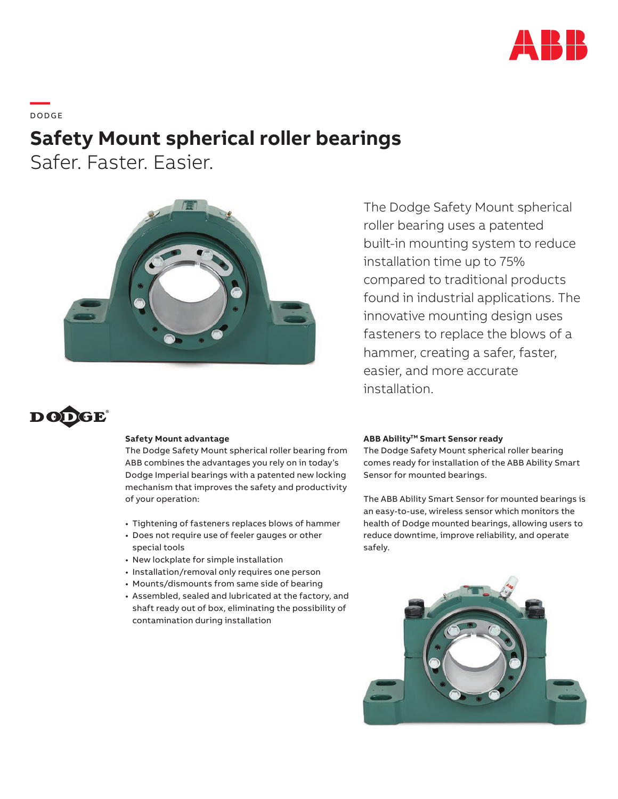

**—**  DO DG E

# **Safety Mount spherical roller bearings**

Safer. Faster. Easier.



The Dodge Safety Mount spherical roller bearing uses a patented built-in mounting system to reduce installation time up to 75% compared to traditional products found in industrial applications. The innovative mounting design uses fasteners to replace the blows of a hammer, creating a safer, faster, easier, and more accurate installation.



### **Safety Mount advantage**

The Dodge Safety Mount spherical roller bearing from ABB combines the advantages you rely on in today's Dodge Imperial bearings with a patented new locking mechanism that improves the safety and productivity of your operation:

- Tightening of fasteners replaces blows of hammer
- Does not require use of feeler gauges or other special tools
- New lockplate for simple installation
- Installation/removal only requires one person
- Mounts/dismounts from same side of bearing
- Assembled, sealed and lubricated at the factory, and shaft ready out of box, eliminating the possibility of contamination during installation

### **ABB Ability™ Smart Sensor ready**

The Dodge Safety Mount spherical roller bearing comes ready for installation of the ABB Ability Smart Sensor for mounted bearings.

The ABB Ability Smart Sensor for mounted bearings is an easy-to-use, wireless sensor which monitors the health of Dodge mounted bearings, allowing users to reduce downtime, improve reliability, and operate safely.